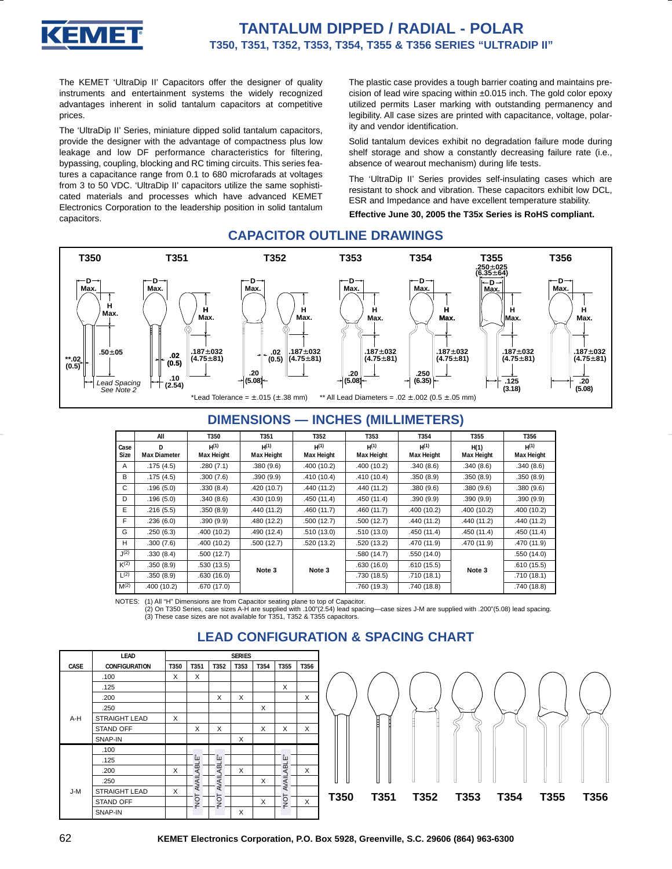

The KEMET 'UltraDip II' Capacitors offer the designer of quality instruments and entertainment systems the widely recognized advantages inherent in solid tantalum capacitors at competitive prices.

The 'UltraDip II' Series, miniature dipped solid tantalum capacitors, provide the designer with the advantage of compactness plus low leakage and low DF performance characteristics for filtering, bypassing, coupling, blocking and RC timing circuits. This series features a capacitance range from 0.1 to 680 microfarads at voltages from 3 to 50 VDC. 'UltraDip II' capacitors utilize the same sophisticated materials and processes which have advanced KEMET Electronics Corporation to the leadership position in solid tantalum capacitors.

The plastic case provides a tough barrier coating and maintains precision of lead wire spacing within ±0.015 inch. The gold color epoxy utilized permits Laser marking with outstanding permanency and legibility. All case sizes are printed with capacitance, voltage, polarity and vendor identification.

Solid tantalum devices exhibit no degradation failure mode during shelf storage and show a constantly decreasing failure rate (i.e., absence of wearout mechanism) during life tests.

The 'UltraDip II' Series provides self-insulating cases which are resistant to shock and vibration. These capacitors exhibit low DCL, ESR and Impedance and have excellent temperature stability.

**Effective June 30, 2005 the T35x Series is RoHS compliant.**

### **CAPACITOR OUTLINE DRAWINGS**



## **DIMENSIONS — INCHES (MILLIMETERS)**

|                  | All                 | T350              | T351        | T352        | T353        | T354              | T355              | T356              |
|------------------|---------------------|-------------------|-------------|-------------|-------------|-------------------|-------------------|-------------------|
| Case             | D.                  | $H^{(1)}$         | H(1)        | $H^{(1)}$   | H(1)        | $H^{(1)}$         | H(1)              | $H^{(1)}$         |
| Size             | <b>Max Diameter</b> | <b>Max Height</b> | Max Height  | Max Height  | Max Height  | <b>Max Height</b> | <b>Max Height</b> | <b>Max Height</b> |
| A                | .175(4.5)           | .280(7.1)         | .380(9.6)   | .400 (10.2) | .400 (10.2) | .340(8.6)         | .340(8.6)         | .340(8.6)         |
| B                | .175(4.5)           | .300(7.6)         | .390(9.9)   | .410 (10.4) | .410(10.4)  | .350(8.9)         | .350(8.9)         | .350(8.9)         |
| C                | .196(5.0)           | .330(8.4)         | .420 (10.7) | .440 (11.2) | .440 (11.2) | .380(9.6)         | .380(9.6)         | .380(9.6)         |
| D                | .196(5.0)           | .340(8.6)         | .430(10.9)  | .450 (11.4) | .450 (11.4) | .390(9.9)         | .390(9.9)         | .390(9.9)         |
| E                | .216(5.5)           | .350(8.9)         | .440 (11.2) | .460(11.7)  | .460(11.7)  | .400(10.2)        | .400(10.2)        | .400 (10.2)       |
| F                | .236(6.0)           | .390(9.9)         | .480(12.2)  | .500 (12.7) | .500(12.7)  | .440(11.2)        | .440(11.2)        | .440 (11.2)       |
| G                | .250 (6.3)          | .400(10.2)        | .490 (12.4) | .510 (13.0) | .510(13.0)  | .450 (11.4)       | .450(11.4)        | .450 (11.4)       |
| H                | .300(7.6)           | .400(10.2)        | .500(12.7)  | .520 (13.2) | .520 (13.2) | .470 (11.9)       | .470 (11.9)       | .470 (11.9)       |
| J(2)             | .330(8.4)           | .500(12.7)        |             |             | .580 (14.7) | .550 (14.0)       |                   | .550 (14.0)       |
| K(2)             | .350(8.9)           | .530(13.5)        | Note 3      | Note 3      | .630(16.0)  | .610(15.5)        | Note 3            | .610(15.5)        |
| $L^{(2)}$        | .350(8.9)           | .630(16.0)        |             |             | .730 (18.5) | .710(18.1)        |                   | .710 (18.1)       |
| M <sup>(2)</sup> | .400 (10.2)         | .670(17.0)        |             |             | .760 (19.3) | .740 (18.8)       |                   | .740 (18.8)       |

NOTES: (1) All "H" Dimensions are from Capacitor seating plane to top of Capacitor.

(2) On T350 Series, case sizes A-H are supplied with .100"(2.54) lead spacing—case sizes J-M are supplied with .200"(5.08) lead spacing. (3) These case sizes are not available for T351, T352 & T355 capacitors.



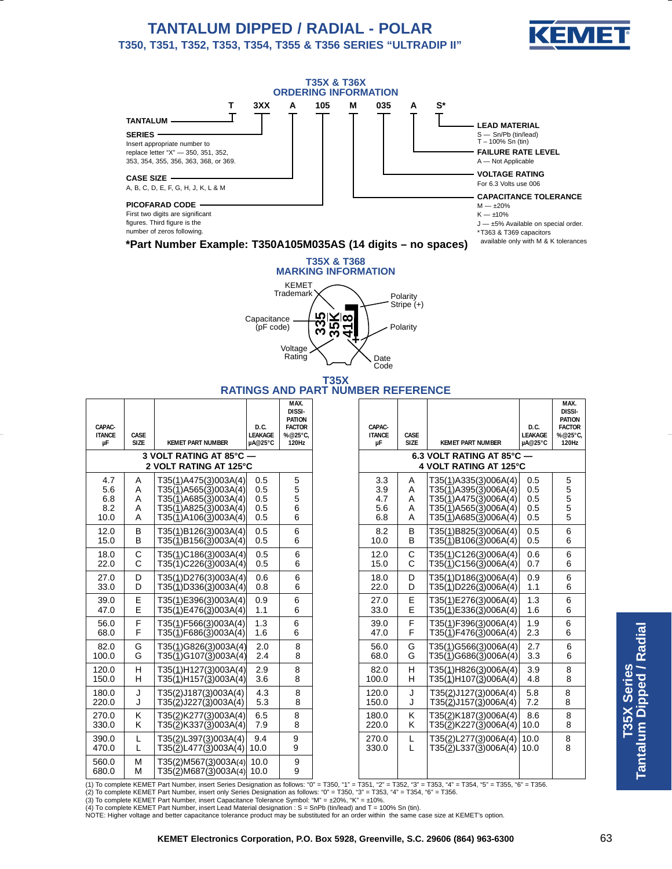# **TANTALUM DIPPED / RADIAL - POLAR T350, T351, T352, T353, T354, T355 & T356 SERIES "ULTRADIP II"**







#### **T35X RATINGS AND PART NUMBER REFERENCE**

| CAPAC-<br><b>ITANCE</b><br>μF    | CASE<br><b>SIZE</b>                               | <b>KEMET PART NUMBER</b>                                                                                                    | D.C.<br><b>LEAKAGE</b><br>µA@25°C | MAX.<br>DISSI-<br><b>PATION</b><br><b>FACTOR</b><br>%@25°C,<br>120Hz | CAPAC-<br><b>ITANCE</b><br>μF   | CASE<br><b>SIZE</b>   | <b>KEMET PART NUMBER</b>                                                                                             | D.C.<br><b>LEAKAGE</b><br>µA@25°C | MAX.<br>DISSI-<br><b>PATION</b><br><b>FACTOR</b><br>%@25°C,<br>120Hz |
|----------------------------------|---------------------------------------------------|-----------------------------------------------------------------------------------------------------------------------------|-----------------------------------|----------------------------------------------------------------------|---------------------------------|-----------------------|----------------------------------------------------------------------------------------------------------------------|-----------------------------------|----------------------------------------------------------------------|
|                                  | 3 VOLT RATING AT 85°C -<br>2 VOLT RATING AT 125°C | 6.3 VOLT RATING AT 85°C -<br>4 VOLT RATING AT 125°C                                                                         |                                   |                                                                      |                                 |                       |                                                                                                                      |                                   |                                                                      |
| 4.7<br>5.6<br>6.8<br>8.2<br>10.0 | A<br>A<br>Α<br>A<br>A                             | T35(1)A475(3)003A(4)<br>T35(1)A565(3)003A(4)<br>$T35(1)$ A685 $(3)$ 003A(4)<br>T35(1)A825(3)003A(4)<br>T35(1)A106(3)003A(4) | 0.5<br>0.5<br>0.5<br>0.5<br>0.5   | 5<br>5<br>5<br>6<br>6                                                | 3.3<br>3.9<br>4.7<br>5.6<br>6.8 | A<br>A<br>A<br>A<br>A | T35(1)A335(3)006A(4)<br>T35(1)A395(3)006A(4)<br>T35(1)A475(3)006A(4)<br>T35(1)A565(3)006A(4)<br>T35(1)A685(3)006A(4) | 0.5<br>0.5<br>0.5<br>0.5<br>0.5   | 5<br>5<br>5<br>5<br>5                                                |
| 12.0                             | B                                                 | T35(1)B126(3)003A(4)                                                                                                        | 0.5                               | 6                                                                    | 8.2                             | B                     | T35(1)B825(3)006A(4)                                                                                                 | 0.5                               | 6                                                                    |
| 15.0                             | B                                                 | T35(1)B156(3)003A(4)                                                                                                        | 0.5                               | 6                                                                    | 10.0                            | B                     | T35(1)B106(3)006A(4)                                                                                                 | 0.5                               | 6                                                                    |
| 18.0                             | $\mathsf C$                                       | T35(1)C186(3)003A(4)                                                                                                        | 0.5                               | 6                                                                    | 12.0                            | C                     | T35(1)C126(3)006A(4)                                                                                                 | 0.6                               | 6                                                                    |
| 22.0                             | $\mathsf{C}$                                      | T35(1)C226(3)003A(4)                                                                                                        | 0.5                               | 6                                                                    | 15.0                            | C                     | T35(1)C156(3)006A(4)                                                                                                 | 0.7                               | 6                                                                    |
| 27.0                             | D                                                 | T35(1)D276(3)003A(4)                                                                                                        | 0.6                               | 6                                                                    | 18.0                            | D                     | T35(1)D186(3)006A(4)                                                                                                 | 0.9                               | 6                                                                    |
| 33.0                             | D                                                 | T35(1)D336(3)003A(4)                                                                                                        | 0.8                               | 6                                                                    | 22.0                            | D                     | T35(1)D226(3)006A(4)                                                                                                 | 1.1                               | 6                                                                    |
| 39.0                             | Ε                                                 | T35(1)E396(3)003A(4)                                                                                                        | 0.9                               | 6                                                                    | 27.0                            | Ε                     | T35(1)E276(3)006A(4)                                                                                                 | 1.3                               | 6                                                                    |
| 47.0                             | E                                                 | T35(1)E476(3)003A(4)                                                                                                        | 1.1                               | 6                                                                    | 33.0                            | E                     | T35(1)E336(3)006A(4)                                                                                                 | 1.6                               | 6                                                                    |
| 56.0                             | F                                                 | T35(1)F566(3)003A(4)                                                                                                        | 1.3                               | 6                                                                    | 39.0                            | F                     | T35(1)F396(3)006A(4)                                                                                                 | 1.9                               | 6                                                                    |
| 68.0                             | F                                                 | T35(1)F686(3)003A(4)                                                                                                        | 1.6                               | 6                                                                    | 47.0                            | F                     | T35(1)F476(3)006A(4)                                                                                                 | 2.3                               | 6                                                                    |
| 82.0                             | G                                                 | T35(1)G826(3)003A(4)                                                                                                        | 2.0                               | 8                                                                    | 56.0                            | G                     | T35(1)G566(3)006A(4)                                                                                                 | 2.7                               | 6                                                                    |
| 100.0                            | G                                                 | T35(1)G107(3)003A(4)                                                                                                        | 2.4                               | 8                                                                    | 68.0                            | G                     | T35(1)G686(3)006A(4)                                                                                                 | 3.3                               | 6                                                                    |
| 120.0                            | $\mathsf{H}$                                      | T35(1)H127(3)003A(4)                                                                                                        | 2.9                               | 8                                                                    | 82.0                            | Н                     | T35(1)H826(3)006A(4)                                                                                                 | 3.9                               | 8                                                                    |
| 150.0                            | H                                                 | T35(1)H157(3)003A(4)                                                                                                        | 3.6                               | 8                                                                    | 100.0                           | H                     | T35(1)H107(3)006A(4)                                                                                                 | 4.8                               | 8                                                                    |
| 180.0                            | J                                                 | T35(2)J187(3)003A(4)                                                                                                        | 4.3                               | 8                                                                    | 120.0                           | J                     | T35(2)J127(3)006A(4)                                                                                                 | 5.8                               | 8                                                                    |
| 220.0                            | J                                                 | T35(2)J227(3)003A(4)                                                                                                        | 5.3                               | 8                                                                    | 150.0                           | J                     | T35(2)J157(3)006A(4)                                                                                                 | 7.2                               | 8                                                                    |
| 270.0                            | K                                                 | T35(2)K277(3)003A(4)                                                                                                        | 6.5                               | 8                                                                    | 180.0                           | Κ                     | T35(2)K187(3)006A(4)                                                                                                 | 8.6                               | 8                                                                    |
| 330.0                            | K                                                 | T35(2)K337(3)003A(4)                                                                                                        | 7.9                               | 8                                                                    | 220.0                           | K                     | T35( <u>2</u> )K227(3)006A(4)                                                                                        | 10.0                              | 8                                                                    |
| 390.0                            | Г                                                 | T35(2)L397(3)003A(4)                                                                                                        | 9.4                               | 9                                                                    | 270.0                           | L                     | T35(2)L277(3)006A(4)                                                                                                 | 10.0                              | 8                                                                    |
| 470.0                            | L                                                 | T35(2)L477(3)003A(4)                                                                                                        | 10.0                              | 9                                                                    | 330.0                           | L                     | T35(2)L337(3)006A(4)                                                                                                 | 10.0                              | 8                                                                    |
| 560.0<br>680.0                   | M<br>M                                            | T35(2)M567(3)003A(4)<br>T35(2)M687(3)003A(4)                                                                                | 10.0<br>10.0                      | 9<br>9                                                               |                                 |                       |                                                                                                                      |                                   |                                                                      |

(1) To complete KEMET Part Number, insert Series Designation as follows: "0" = T350, "1" = T351, "2" = T352, "3" = T353, "4" = T354, "5" = T355, "6" = T356.

(2) To complete KEMET Part Number, insert only Series Designation as follows: "0" = T350, "3" = T353, "4" = T354, "6" = T356.<br>(3) To complete KEMET Part Number, insert Capacitance Tolerance Symbol: "M" = ±20%, "K" = ±10%.

(4) To complete KEMET Part Number, insert Lead Material designation : S = SnPb (tin/lead) and T = 100% Sn (tin).

NOTE: Higher voltage and better capacitance tolerance product may be substituted for an order within the same case size at KEMET's option.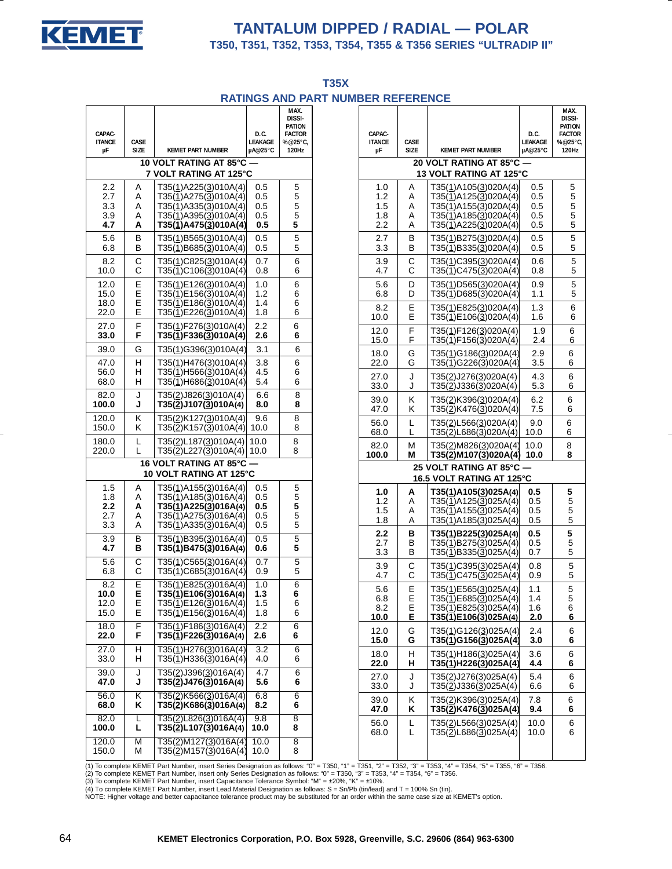

# **TANTALUM DIPPED / RADIAL — POLAR**

**T350, T351, T352, T353, T354, T355 & T356 SERIES "ULTRADIP II"**

**T35X RATINGS AND PART NUMBER REFERENCE**

| CAPAC-<br><b>ITANCE</b><br>μF                           | CASE<br><b>SIZE</b> | <b>KEMET PART NUMBER</b>                                        | D.C.<br>LEAKAGE<br>µA@25°C | MAX.<br><b>DISSI-</b><br>PATION<br><b>FACTOR</b><br>%@25°C,<br>120Hz |  |  |  |  |  |  |
|---------------------------------------------------------|---------------------|-----------------------------------------------------------------|----------------------------|----------------------------------------------------------------------|--|--|--|--|--|--|
| <b>10 VOLT RATING AT 85°C</b><br>7 VOLT RATING AT 125°C |                     |                                                                 |                            |                                                                      |  |  |  |  |  |  |
| 2.2                                                     | Α                   | T35(1)A225(3)010A(4)                                            | 0.5                        | 5                                                                    |  |  |  |  |  |  |
| 2.7                                                     | A                   | T35(1)A275(3)010A(4)                                            | 0.5                        | 5                                                                    |  |  |  |  |  |  |
| 3.3                                                     | A                   | T35(1)A335(3)010A(4)                                            | 0.5                        | 5                                                                    |  |  |  |  |  |  |
| 3.9                                                     | Α                   | T35(1)A395(3)010A(4)                                            | 0.5                        | 5                                                                    |  |  |  |  |  |  |
| 4.7                                                     | Α                   | T35(1)A475(3)010A(4)                                            | 0.5                        | 5                                                                    |  |  |  |  |  |  |
| 5.6                                                     | в                   | T35(1)B565(3)010A(4)                                            | 0.5                        | 5                                                                    |  |  |  |  |  |  |
| 6.8                                                     | B                   | T35(1)B685(3)010A(4)                                            | 0.5                        | 5                                                                    |  |  |  |  |  |  |
| 8.2                                                     | С                   | T35(1)C825(3)010A(4)                                            | 0.7                        | 6                                                                    |  |  |  |  |  |  |
| 10.0                                                    | C                   | T35(1)C106(3)010A(4)                                            | 0.8                        | 6                                                                    |  |  |  |  |  |  |
| 12.0                                                    | Е                   | T35(1)E126(3)010A(4)                                            | 1.0                        | 6                                                                    |  |  |  |  |  |  |
| 15.0                                                    | Ε                   | T35(1)E156(3)010A(4)                                            | 1.2                        | 6                                                                    |  |  |  |  |  |  |
| 18.0                                                    | E                   | T35(1)E186(3)010A(4)                                            | 1.4                        | 6                                                                    |  |  |  |  |  |  |
| 22.0                                                    | E                   | T35(1)E226(3)010A(4)                                            | 1.8                        | 6                                                                    |  |  |  |  |  |  |
| 27.0                                                    | F                   | T35(1)F276(3)010A(4)                                            | 2.2                        | 6                                                                    |  |  |  |  |  |  |
| 33.0                                                    | F                   | T35(1)F336(3)010A(4)                                            | 2.6                        | 6                                                                    |  |  |  |  |  |  |
| 39.0                                                    | G                   | T35(1)G396(3)010A(4)                                            | 3.1                        | 6                                                                    |  |  |  |  |  |  |
| 47.0                                                    | н                   | T35(1)H476(3)010A(4)                                            | 3.8                        | 6                                                                    |  |  |  |  |  |  |
| 56.0                                                    | н                   | T35(1)H566(3)010A(4)                                            | 4.5                        | 6                                                                    |  |  |  |  |  |  |
| 68.0                                                    | н                   | T35(1)H686(3)010A(4)                                            | 5.4                        | 6                                                                    |  |  |  |  |  |  |
| 82.0                                                    | J                   | T35(2)J826(3)010A(4)                                            | 6.6                        | 8                                                                    |  |  |  |  |  |  |
| 100.0                                                   | J                   | T35(2)J107(3)010A(4)                                            | 8.0                        | 8                                                                    |  |  |  |  |  |  |
| 120.0                                                   | Κ                   | T35(2)K127(3)010A(4)                                            | 9.6                        | 8                                                                    |  |  |  |  |  |  |
| 150.0                                                   | κ                   | T35(2)K157(3)010A(4)                                            | 10.0                       | 8                                                                    |  |  |  |  |  |  |
| 180.0                                                   | L                   | T35(2)L187(3)010A(4)                                            | 10.0                       | 8                                                                    |  |  |  |  |  |  |
| 220.0                                                   | L                   | T35(2)L227(3)010A(4)                                            | 10.0                       | 8                                                                    |  |  |  |  |  |  |
|                                                         |                     | <b>16 VOLT RATING AT 85°C</b><br><b>10 VOLT RATING AT 125°C</b> |                            |                                                                      |  |  |  |  |  |  |
| 1.5                                                     | Α                   | T35(1)A155(3)016A(4)                                            | 0.5                        | 5                                                                    |  |  |  |  |  |  |
| 1.8                                                     | A                   | T35(1)A185(3)016A(4)                                            | 0.5                        | 5                                                                    |  |  |  |  |  |  |
| 2.2                                                     | А                   | T35(1)A225(3)016A(4)                                            | 0.5                        | 5                                                                    |  |  |  |  |  |  |
| 2.7                                                     | A                   | T35(1)A275(3)016A(4)                                            | 0.5                        | 5                                                                    |  |  |  |  |  |  |
| 3.3                                                     | Α                   | T35(1)A335(3)016A(4)                                            | 0.5                        | 5                                                                    |  |  |  |  |  |  |
| 3.9                                                     | В                   | T35(1)B395(3)016A(4)                                            | 0.5                        | 5                                                                    |  |  |  |  |  |  |
| 4.7                                                     | в                   | T35(1)B475(3)016A(4)                                            | 0.6                        | 5                                                                    |  |  |  |  |  |  |
| 5.6                                                     | С                   | T35(1)C565(3)016A(4)                                            | 0.7                        | 5                                                                    |  |  |  |  |  |  |
| 6.8                                                     | С                   | T35(1)C685(3)016A(4)                                            | 0.9                        | 5                                                                    |  |  |  |  |  |  |
| 8.2                                                     | Е                   | T35(1)E825(3)016A(4)                                            | 1.0                        | 6                                                                    |  |  |  |  |  |  |
| 10.0                                                    | E                   | T35(1)E106(3)016A(4)                                            | 1.3                        | 6                                                                    |  |  |  |  |  |  |
| 12.0                                                    | E                   | T35( <u>1</u> )E126( <u>3</u> )016A(4)                          | 1.5                        | 6                                                                    |  |  |  |  |  |  |
| 15.0                                                    | Е                   | T35(1)E156(3)016A(4)                                            | 1.8                        | 6                                                                    |  |  |  |  |  |  |
| 18.0                                                    | F                   | T35(1)F186(3)016A(4)                                            | $2.2\,$                    | 6                                                                    |  |  |  |  |  |  |
| 22.0                                                    | F                   | T35(1)F226(3)016A(4)                                            | 2.6                        | 6                                                                    |  |  |  |  |  |  |
| 27.0                                                    | Н                   | T35(1)H276(3)016A(4)                                            | 3.2                        | 6                                                                    |  |  |  |  |  |  |
| 33.0                                                    | н                   | T35(1)H336(3)016A(4)                                            | 4.0                        | 6                                                                    |  |  |  |  |  |  |
| 39.0                                                    | J                   | T35(2)J396(3)016A(4)                                            | 4.7                        | 6                                                                    |  |  |  |  |  |  |
| 47.0                                                    | J                   | T35(2)J476(3)016A(4)                                            | 5.6                        | 6                                                                    |  |  |  |  |  |  |
| 56.0                                                    | κ                   | T35(2)K566(3)016A(4)                                            | 6.8                        | 6                                                                    |  |  |  |  |  |  |
| 68.0                                                    | Κ                   | T35(2)K686(3)016A(4)                                            | 8.2                        | 6                                                                    |  |  |  |  |  |  |
| 82.0                                                    | L                   | T35(2)L826(3)016A(4)                                            | 9.8                        | 8                                                                    |  |  |  |  |  |  |
| 100.0                                                   | L                   | T35(2)L107(3)016A(4)                                            | 10.0                       | 8                                                                    |  |  |  |  |  |  |
| 120.0                                                   | М                   | T35( <u>2)</u> M127( <u>3</u> )016A(4)                          | 10.0                       | 8                                                                    |  |  |  |  |  |  |
| 150.0                                                   | М                   | T35(2)M157(3)016A(4)                                            | 10.0                       | 8                                                                    |  |  |  |  |  |  |

| CAPAC-            |              |                                                                                           | D.C.       | MAX.<br>DISSI-<br><b>PATION</b><br><b>FACTOR</b> |
|-------------------|--------------|-------------------------------------------------------------------------------------------|------------|--------------------------------------------------|
| <b>ITANCE</b>     | CASE         | <b>KEMET PART NUMBER</b>                                                                  | LEAKAGE    | %@25°C,                                          |
| μF                | SIZE         |                                                                                           | µA@25°C    | 120Hz                                            |
|                   |              | 20 VOLT RATING AT 85°C -<br>13 VOLT RATING AT 125°C                                       |            |                                                  |
| 1.0               | Α            | T35(1)A105(3)020A(4)                                                                      | 0.5        | 5                                                |
| $1.2$             | A            | $T35(1)$ A125(3)020A(4)                                                                   | 0.5        | $\sqrt{5}$                                       |
| 1.5               | A            | $T35(\underline{1})$ A155 $(\underline{3})$ 020A $(4)$                                    | 0.5        | 5                                                |
| 1.8               | Α            | $T35(1)$ A185(3)020A(4)                                                                   | 0.5        | 5                                                |
| 2.2               | A            | $T35(1)$ A225(3)020A(4)                                                                   | 0.5        | 5                                                |
| 2.7               | в            | T35(1)B275(3)020A(4)                                                                      | 0.5        | $\sqrt{5}$                                       |
| 3.3               | B            | T35(1)B335(3)020A(4)                                                                      | 0.5        | $\,$ 5 $\,$                                      |
| 3.9               | C            | T35(1)C395(3)020A(4)                                                                      | 0.6        | 5                                                |
| 4.7               | C            | T35(1)C475(3)020A(4)                                                                      | 0.8        | 5                                                |
| 5.6               | D            | T35(1)D565(3)020A(4)                                                                      | 0.9        | $\sqrt{5}$                                       |
| 6.8               | D            | T35(1)D685(3)020A(4)                                                                      | 1.1        | 5                                                |
| 8.2               | E            | T35(1)E825(3)020A(4)                                                                      | 1.3        | 6                                                |
| 10.0              | E            | T35(1)E106(3)020A(4)                                                                      | 1.6        | 6                                                |
| 12.0              | F            | T35(1)F126(3)020A(4)                                                                      | 1.9        | $\,6\,$                                          |
| 15.0              | F            | T35(1)F156(3)020A(4)                                                                      | 2.4        | 6                                                |
| 18.0              | G            | T35(1)G186(3)020A(4)                                                                      | 2.9        | 6                                                |
| 22.0              | G            | T35(1)G226(3)020A(4)                                                                      | 3.5        | 6                                                |
| 27.0              | J            | T35(2)J276(3)020A(4)                                                                      | 4.3        | 6                                                |
| 33.0              | J            | T35(2)J336(3)020A(4)                                                                      | 5.3        | 6                                                |
| 39.0              | Κ            | T35(2)K396(3)020A(4)                                                                      | 6.2        | 6                                                |
| 47.0              | K            | T35(2)K476(3)020A(4)                                                                      | 7.5        | 6                                                |
| 56.0              | L            | T35(2)L566(3)020A(4)                                                                      | 9.0        | 6                                                |
| 68.0              | L            | T35(2)L686(3)020A(4) 10.0                                                                 |            | 6                                                |
| 82.0              | м            | T35(2)M826(3)020A(4) 10.0                                                                 |            | 8                                                |
| 100.0             | M            | T35(2)M107(3)020A(4) 10.0                                                                 |            | 8                                                |
|                   |              | 25 VOLT RATING AT 85°C -<br>16.5 VOLT RATING AT 125°C                                     |            |                                                  |
| 1.0               | A<br>A       | T35(1)A105(3)025A(4)                                                                      | 0.5<br>0.5 | 5<br>5                                           |
| 1.2<br>1.5<br>1.8 | A<br>Α       | T35(1)A125(3)025A(4)<br>T35( <u>1</u> )A155( <u>3</u> )025A(4)<br>$T35(1)$ A185(3)025A(4) | 0.5<br>0.5 | 5<br>5                                           |
| $2.2$<br>2.7      | в            | T35(1)B225(3)025A(4)                                                                      | 0.5        | 5                                                |
|                   | B            | T35( <u>1</u> )B275( <u>3</u> )025A(4)                                                    | 0.5        | 5                                                |
| 3.3               | B            | T35(1)B335(3)025A(4)                                                                      | 0.7        | 5                                                |
| 3.9               | $\mathsf C$  | T35(1)C395(3)025A(4)                                                                      | 0.8        | $\,$ 5 $\,$                                      |
| 4.7               | C            | T35(1)C475(3)025A(4)                                                                      | 0.9        | 5                                                |
| 5.6               | Ε            | T35(1)E565(3)025A(4)                                                                      | 1.1        | 5                                                |
| 6.8               | Е            | T35(1)E685(3)025A(4)                                                                      | 1.4        | 5                                                |
| 8.2               | $\mathsf E$  | $T35(\overline{1})E825(\overline{3})025A(4)$                                              | 1.6        | 6                                                |
| 10.0              | $\mathsf E$  | T35(1)E106(3)025A(4)                                                                      | 2.0        | 6                                                |
| 12.0              | G            |                                                                                           | 2.4        | $\,6$                                            |
| 15.0              | G            | T35(1)G126(3)025A(4)<br>T35(1)G156(3)025A(4)                                              | 3.0        | 6                                                |
| 18.0              | H            | T35(1)H186(3)025A(4)                                                                      | 3.6        | $\,6\,$                                          |
| 22.0              | н            | $T35(\overline{1})H226(\overline{3})025A(4)$                                              | 4.4        | 6                                                |
| 27.0              | J            | $T35(2)$ J276(3)025A(4)                                                                   | 5.4        | $\,6$                                            |
| 33.0              | J            | $T35(\underline{2})$ J336 $(\underline{3})$ 025A(4)                                       | 6.6        | 6                                                |
| 39.0              | Κ            | T35(2)K396(3)025A(4)                                                                      | 7.8        | 6                                                |
| 47.0              | Κ            | T35( <u>2)</u> K476(3)025A(4)                                                             | 9.4        | 6                                                |
| 56.0              | $\mathsf{L}$ | T35(2)L566(3)025A(4)                                                                      | 10.0       | 6                                                |
| 68.0              | L.           | T35( $\overline{2}$ )L686( $\overline{3}$ )025A(4)                                        | 10.0       | 6                                                |
|                   |              |                                                                                           |            |                                                  |

(1) To complete KEMET Part Number, insert Series Designation as follows: "0" = T350, "1" = T351, "2" = T352, "3" = T353, "4" = T354, "5" = T355, "6" = T356.<br>(2) To complete KEMET Part Number, insert only Series Designation